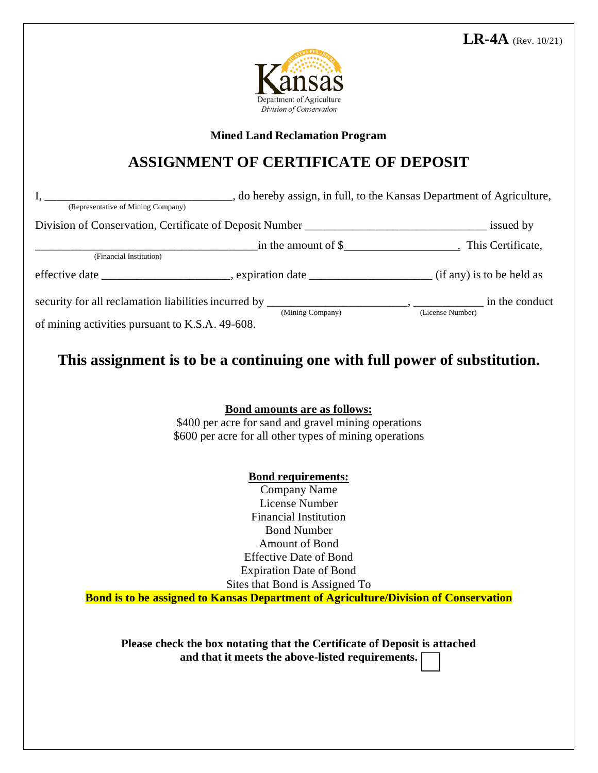

**Mined Land Reclamation Program**

## **ASSIGNMENT OF CERTIFICATE OF DEPOSIT**

|                                                 | Division of Conservation, Certificate of Deposit Number __________________________________ issued by                                                                                                                                                          |  |
|-------------------------------------------------|---------------------------------------------------------------------------------------------------------------------------------------------------------------------------------------------------------------------------------------------------------------|--|
| (Financial Institution)                         |                                                                                                                                                                                                                                                               |  |
|                                                 | effective date _______________________, expiration date _______________________ (if any) is to be held as                                                                                                                                                     |  |
| of mining activities pursuant to K.S.A. 49-608. | security for all reclamation liabilities incurred by $\frac{(\text{Mining Company})}{(\text{Using Company})}$ , $\frac{(\text{License Number})}{(\text{License Number})}$ in the conduct                                                                      |  |
|                                                 | This assignment is to be a continuing one with full power of substitution.                                                                                                                                                                                    |  |
|                                                 | <b>Bond amounts are as follows:</b><br>\$400 per acre for sand and gravel mining operations<br>\$600 per acre for all other types of mining operations                                                                                                        |  |
|                                                 | <b>Bond requirements:</b><br><b>Company Name</b><br><b>License Number</b><br><b>Financial Institution</b><br><b>Bond Number</b><br><b>Amount of Bond</b><br><b>Effective Date of Bond</b><br><b>Expiration Date of Bond</b><br>Sites that Bond is Assigned To |  |
|                                                 | <b>Bond is to be assigned to Kansas Department of Agriculture/Division of Conservation</b>                                                                                                                                                                    |  |
|                                                 |                                                                                                                                                                                                                                                               |  |

**Please check the box notating that the Certificate of Deposit is attached and that it meets the above-listed requirements.**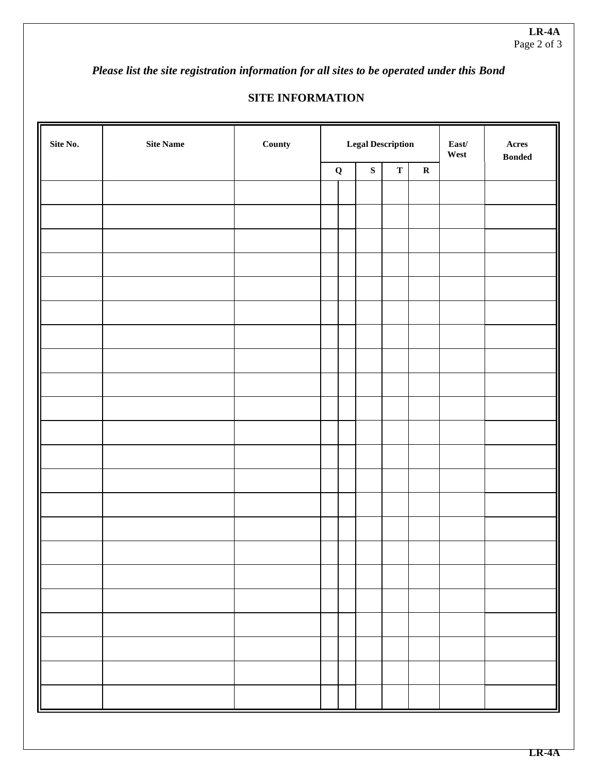*Please list the site registration information for all sites to be operated under this Bond* 

## **SITE INFORMATION**

| Site No. | $\rm{Site}$ $\rm{Name}$ | County | <b>Legal Description</b> |  |                      |  | $\textbf{East}/$<br>West | $\bold{A} \bold{c} \bold{r} \bold{e} \bold{s}$<br>$\boldsymbol{\mathsf{B}}\boldsymbol{\mathsf{onded}}$ |  |
|----------|-------------------------|--------|--------------------------|--|----------------------|--|--------------------------|--------------------------------------------------------------------------------------------------------|--|
|          |                         |        |                          |  | ${\bf S}$<br>$\bf Q$ |  | $\mathbf R$              |                                                                                                        |  |
|          |                         |        |                          |  |                      |  |                          |                                                                                                        |  |
|          |                         |        |                          |  |                      |  |                          |                                                                                                        |  |
|          |                         |        |                          |  |                      |  |                          |                                                                                                        |  |
|          |                         |        |                          |  |                      |  |                          |                                                                                                        |  |
|          |                         |        |                          |  |                      |  |                          |                                                                                                        |  |
|          |                         |        |                          |  |                      |  |                          |                                                                                                        |  |
|          |                         |        |                          |  |                      |  |                          |                                                                                                        |  |
|          |                         |        |                          |  |                      |  |                          |                                                                                                        |  |
|          |                         |        |                          |  |                      |  |                          |                                                                                                        |  |
|          |                         |        |                          |  |                      |  |                          |                                                                                                        |  |
|          |                         |        |                          |  |                      |  |                          |                                                                                                        |  |
|          |                         |        |                          |  |                      |  |                          |                                                                                                        |  |
|          |                         |        |                          |  |                      |  |                          |                                                                                                        |  |
|          |                         |        |                          |  |                      |  |                          |                                                                                                        |  |
|          |                         |        |                          |  |                      |  |                          |                                                                                                        |  |
|          |                         |        |                          |  |                      |  |                          |                                                                                                        |  |
|          |                         |        |                          |  |                      |  |                          |                                                                                                        |  |
|          |                         |        |                          |  |                      |  |                          |                                                                                                        |  |
|          |                         |        |                          |  |                      |  |                          |                                                                                                        |  |
|          |                         |        |                          |  |                      |  |                          |                                                                                                        |  |
|          |                         |        |                          |  |                      |  |                          |                                                                                                        |  |
|          |                         |        |                          |  |                      |  |                          |                                                                                                        |  |